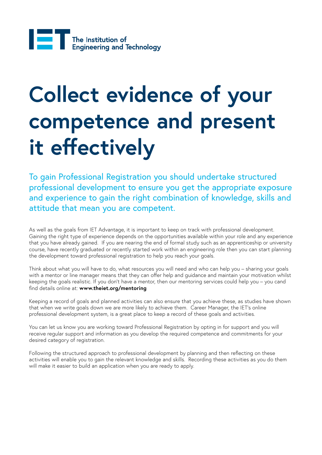## **Collect evidence of your competence and present it effectively**

To gain Professional Registration you should undertake structured professional development to ensure you get the appropriate exposure and experience to gain the right combination of knowledge, skills and attitude that mean you are competent.

As well as the goals from IET Advantage, it is important to keep on track with professional development. Gaining the right type of experience depends on the opportunities available within your role and any experience that you have already gained. If you are nearing the end of formal study such as an apprenticeship or university course, have recently graduated or recently started work within an engineering role then you can start planning the development toward professional registration to help you reach your goals.

Think about what you will have to do, what resources you will need and who can help you – sharing your goals with a mentor or line manager means that they can offer help and guidance and maintain your motivation whilst keeping the goals realistic. If you don't have a mentor, then our mentoring services could help you – you cand find details online at: **www.theiet.org/mentoring**

Keeping a record of goals and planned activities can also ensure that you achieve these, as studies have shown that when we write goals down we are more likely to achieve them. Career Manager, the IET's online professional development system, is a great place to keep a record of these goals and activities.

You can let us know you are working toward Professional Registration by opting in for support and you will receive regular support and information as you develop the required competence and commitments for your desired category of registration.

Following the structured approach to professional development by planning and then reflecting on these activities will enable you to gain the relevant knowledge and skills. Recording these activities as you do them will make it easier to build an application when you are ready to apply.